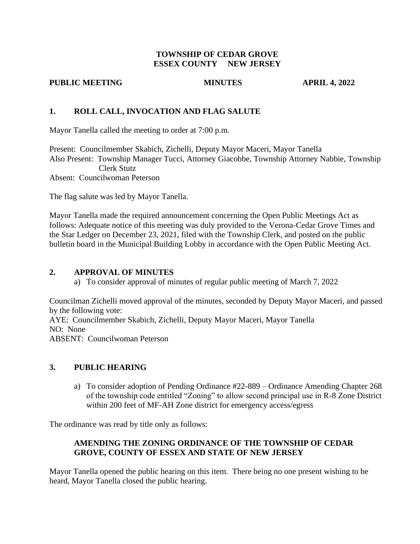# **TOWNSHIP OF CEDAR GROVE ESSEX COUNTY NEW JERSEY**

## **PUBLIC MEETING MINUTES APRIL 4, 2022**

# **1. ROLL CALL, INVOCATION AND FLAG SALUTE**

Mayor Tanella called the meeting to order at 7:00 p.m.

Present: Councilmember Skabich, Zichelli, Deputy Mayor Maceri, Mayor Tanella Also Present: Township Manager Tucci, Attorney Giacobbe, Township Attorney Nabbie, Township Clerk Stutz Absent: Councilwoman Peterson

The flag salute was led by Mayor Tanella.

Mayor Tanella made the required announcement concerning the Open Public Meetings Act as follows: Adequate notice of this meeting was duly provided to the Verona-Cedar Grove Times and the Star Ledger on December 23, 2021, filed with the Township Clerk, and posted on the public bulletin board in the Municipal Building Lobby in accordance with the Open Public Meeting Act.

# **2. APPROVAL OF MINUTES**

a) To consider approval of minutes of regular public meeting of March 7, 2022

Councilman Zichelli moved approval of the minutes, seconded by Deputy Mayor Maceri, and passed by the following vote: AYE: Councilmember Skabich, Zichelli, Deputy Mayor Maceri, Mayor Tanella NO: None ABSENT: Councilwoman Peterson

# **3. PUBLIC HEARING**

a) To consider adoption of Pending Ordinance #22-889 – Ordinance Amending Chapter 268 of the township code entitled "Zoning" to allow second principal use in R-8 Zone District within 200 feet of MF-AH Zone district for emergency access/egress

The ordinance was read by title only as follows:

# **AMENDING THE ZONING ORDINANCE OF THE TOWNSHIP OF CEDAR GROVE, COUNTY OF ESSEX AND STATE OF NEW JERSEY**

Mayor Tanella opened the public hearing on this item. There being no one present wishing to be heard, Mayor Tanella closed the public hearing.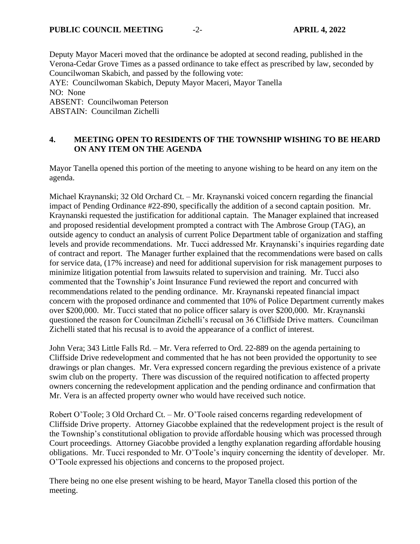Deputy Mayor Maceri moved that the ordinance be adopted at second reading, published in the Verona-Cedar Grove Times as a passed ordinance to take effect as prescribed by law, seconded by Councilwoman Skabich, and passed by the following vote: AYE: Councilwoman Skabich, Deputy Mayor Maceri, Mayor Tanella NO: None

ABSENT: Councilwoman Peterson

ABSTAIN: Councilman Zichelli

# **4. MEETING OPEN TO RESIDENTS OF THE TOWNSHIP WISHING TO BE HEARD ON ANY ITEM ON THE AGENDA**

Mayor Tanella opened this portion of the meeting to anyone wishing to be heard on any item on the agenda.

Michael Kraynanski; 32 Old Orchard Ct. – Mr. Kraynanski voiced concern regarding the financial impact of Pending Ordinance #22-890, specifically the addition of a second captain position. Mr. Kraynanski requested the justification for additional captain. The Manager explained that increased and proposed residential development prompted a contract with The Ambrose Group (TAG), an outside agency to conduct an analysis of current Police Department table of organization and staffing levels and provide recommendations. Mr. Tucci addressed Mr. Kraynanski's inquiries regarding date of contract and report. The Manager further explained that the recommendations were based on calls for service data, (17% increase) and need for additional supervision for risk management purposes to minimize litigation potential from lawsuits related to supervision and training. Mr. Tucci also commented that the Township's Joint Insurance Fund reviewed the report and concurred with recommendations related to the pending ordinance. Mr. Kraynanski repeated financial impact concern with the proposed ordinance and commented that 10% of Police Department currently makes over \$200,000. Mr. Tucci stated that no police officer salary is over \$200,000. Mr. Kraynanski questioned the reason for Councilman Zichelli's recusal on 36 Cliffside Drive matters. Councilman Zichelli stated that his recusal is to avoid the appearance of a conflict of interest.

John Vera; 343 Little Falls Rd. – Mr. Vera referred to Ord. 22-889 on the agenda pertaining to Cliffside Drive redevelopment and commented that he has not been provided the opportunity to see drawings or plan changes. Mr. Vera expressed concern regarding the previous existence of a private swim club on the property. There was discussion of the required notification to affected property owners concerning the redevelopment application and the pending ordinance and confirmation that Mr. Vera is an affected property owner who would have received such notice.

Robert O'Toole; 3 Old Orchard Ct. – Mr. O'Toole raised concerns regarding redevelopment of Cliffside Drive property. Attorney Giacobbe explained that the redevelopment project is the result of the Township's constitutional obligation to provide affordable housing which was processed through Court proceedings. Attorney Giacobbe provided a lengthy explanation regarding affordable housing obligations. Mr. Tucci responded to Mr. O'Toole's inquiry concerning the identity of developer. Mr. O'Toole expressed his objections and concerns to the proposed project.

There being no one else present wishing to be heard, Mayor Tanella closed this portion of the meeting.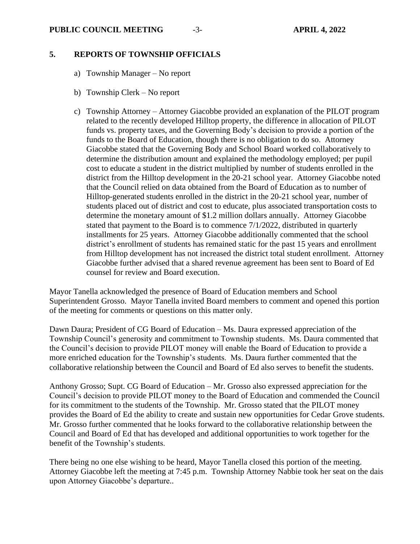## **PUBLIC COUNCIL MEETING** -3- **APRIL 4, 2022**

# **5. REPORTS OF TOWNSHIP OFFICIALS**

- a) Township Manager No report
- b) Township Clerk No report
- c) Township Attorney Attorney Giacobbe provided an explanation of the PILOT program related to the recently developed Hilltop property, the difference in allocation of PILOT funds vs. property taxes, and the Governing Body's decision to provide a portion of the funds to the Board of Education, though there is no obligation to do so. Attorney Giacobbe stated that the Governing Body and School Board worked collaboratively to determine the distribution amount and explained the methodology employed; per pupil cost to educate a student in the district multiplied by number of students enrolled in the district from the Hilltop development in the 20-21 school year. Attorney Giacobbe noted that the Council relied on data obtained from the Board of Education as to number of Hilltop-generated students enrolled in the district in the 20-21 school year, number of students placed out of district and cost to educate, plus associated transportation costs to determine the monetary amount of \$1.2 million dollars annually. Attorney Giacobbe stated that payment to the Board is to commence 7/1/2022, distributed in quarterly installments for 25 years. Attorney Giacobbe additionally commented that the school district's enrollment of students has remained static for the past 15 years and enrollment from Hilltop development has not increased the district total student enrollment. Attorney Giacobbe further advised that a shared revenue agreement has been sent to Board of Ed counsel for review and Board execution.

Mayor Tanella acknowledged the presence of Board of Education members and School Superintendent Grosso. Mayor Tanella invited Board members to comment and opened this portion of the meeting for comments or questions on this matter only.

Dawn Daura; President of CG Board of Education – Ms. Daura expressed appreciation of the Township Council's generosity and commitment to Township students. Ms. Daura commented that the Council's decision to provide PILOT money will enable the Board of Education to provide a more enriched education for the Township's students. Ms. Daura further commented that the collaborative relationship between the Council and Board of Ed also serves to benefit the students.

Anthony Grosso; Supt. CG Board of Education – Mr. Grosso also expressed appreciation for the Council's decision to provide PILOT money to the Board of Education and commended the Council for its commitment to the students of the Township. Mr. Grosso stated that the PILOT money provides the Board of Ed the ability to create and sustain new opportunities for Cedar Grove students. Mr. Grosso further commented that he looks forward to the collaborative relationship between the Council and Board of Ed that has developed and additional opportunities to work together for the benefit of the Township's students.

There being no one else wishing to be heard, Mayor Tanella closed this portion of the meeting. Attorney Giacobbe left the meeting at 7:45 p.m. Township Attorney Nabbie took her seat on the dais upon Attorney Giacobbe's departure..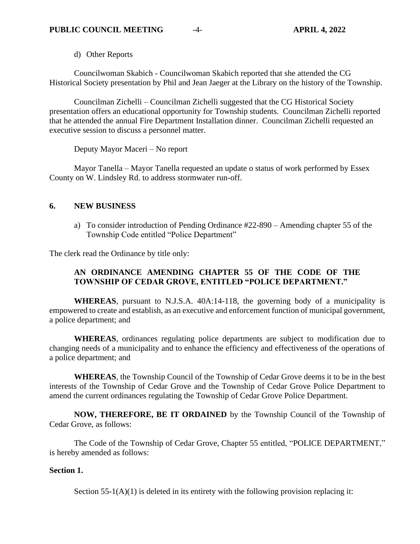d) Other Reports

Councilwoman Skabich - Councilwoman Skabich reported that she attended the CG Historical Society presentation by Phil and Jean Jaeger at the Library on the history of the Township.

Councilman Zichelli – Councilman Zichelli suggested that the CG Historical Society presentation offers an educational opportunity for Township students. Councilman Zichelli reported that he attended the annual Fire Department Installation dinner. Councilman Zichelli requested an executive session to discuss a personnel matter.

Deputy Mayor Maceri – No report

Mayor Tanella – Mayor Tanella requested an update o status of work performed by Essex County on W. Lindsley Rd. to address stormwater run-off.

## **6. NEW BUSINESS**

a) To consider introduction of Pending Ordinance #22-890 – Amending chapter 55 of the Township Code entitled "Police Department"

The clerk read the Ordinance by title only:

# **AN ORDINANCE AMENDING CHAPTER 55 OF THE CODE OF THE TOWNSHIP OF CEDAR GROVE, ENTITLED "POLICE DEPARTMENT."**

**WHEREAS**, pursuant to N.J.S.A. 40A:14-118, the governing body of a municipality is empowered to create and establish, as an executive and enforcement function of municipal government, a police department; and

**WHEREAS**, ordinances regulating police departments are subject to modification due to changing needs of a municipality and to enhance the efficiency and effectiveness of the operations of a police department; and

**WHEREAS**, the Township Council of the Township of Cedar Grove deems it to be in the best interests of the Township of Cedar Grove and the Township of Cedar Grove Police Department to amend the current ordinances regulating the Township of Cedar Grove Police Department.

**NOW, THEREFORE, BE IT ORDAINED** by the Township Council of the Township of Cedar Grove, as follows:

The Code of the Township of Cedar Grove, Chapter 55 entitled, "POLICE DEPARTMENT," is hereby amended as follows:

## **Section 1.**

Section  $55-1(A)(1)$  is deleted in its entirety with the following provision replacing it: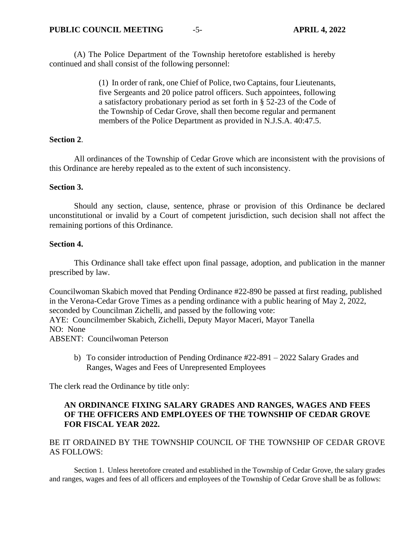(A) The Police Department of the Township heretofore established is hereby continued and shall consist of the following personnel:

> (1) In order of rank, one Chief of Police, two Captains, four Lieutenants, five Sergeants and 20 police patrol officers. Such appointees, following a satisfactory probationary period as set forth in § 52-23 of the Code of the Township of Cedar Grove, shall then become regular and permanent members of the Police Department as provided in N.J.S.A. 40:47.5.

## **Section 2**.

All ordinances of the Township of Cedar Grove which are inconsistent with the provisions of this Ordinance are hereby repealed as to the extent of such inconsistency.

# **Section 3.**

Should any section, clause, sentence, phrase or provision of this Ordinance be declared unconstitutional or invalid by a Court of competent jurisdiction, such decision shall not affect the remaining portions of this Ordinance.

# **Section 4.**

This Ordinance shall take effect upon final passage, adoption, and publication in the manner prescribed by law.

Councilwoman Skabich moved that Pending Ordinance #22-890 be passed at first reading, published in the Verona-Cedar Grove Times as a pending ordinance with a public hearing of May 2, 2022, seconded by Councilman Zichelli, and passed by the following vote: AYE: Councilmember Skabich, Zichelli, Deputy Mayor Maceri, Mayor Tanella NO: None ABSENT: Councilwoman Peterson

b) To consider introduction of Pending Ordinance #22-891 – 2022 Salary Grades and Ranges, Wages and Fees of Unrepresented Employees

The clerk read the Ordinance by title only:

# **AN ORDINANCE FIXING SALARY GRADES AND RANGES, WAGES AND FEES OF THE OFFICERS AND EMPLOYEES OF THE TOWNSHIP OF CEDAR GROVE FOR FISCAL YEAR 2022.**

# BE IT ORDAINED BY THE TOWNSHIP COUNCIL OF THE TOWNSHIP OF CEDAR GROVE AS FOLLOWS:

Section 1. Unless heretofore created and established in the Township of Cedar Grove, the salary grades and ranges, wages and fees of all officers and employees of the Township of Cedar Grove shall be as follows: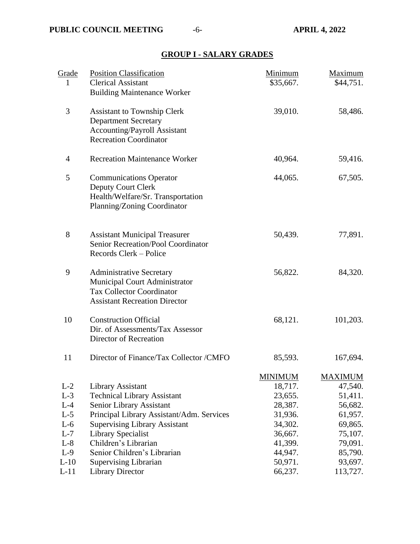# **GROUP I - SALARY GRADES**

| Grade          | <b>Position Classification</b>                                                                                                               | Minimum            | Maximum            |
|----------------|----------------------------------------------------------------------------------------------------------------------------------------------|--------------------|--------------------|
| 1              | <b>Clerical Assistant</b><br><b>Building Maintenance Worker</b>                                                                              | \$35,667.          | \$44,751.          |
| 3              | <b>Assistant to Township Clerk</b><br><b>Department Secretary</b><br><b>Accounting/Payroll Assistant</b><br><b>Recreation Coordinator</b>    | 39,010.            | 58,486.            |
| 4              | <b>Recreation Maintenance Worker</b>                                                                                                         | 40,964.            | 59,416.            |
| 5              | <b>Communications Operator</b><br>Deputy Court Clerk<br>Health/Welfare/Sr. Transportation<br>Planning/Zoning Coordinator                     | 44,065.            | 67,505.            |
| 8              | <b>Assistant Municipal Treasurer</b><br>Senior Recreation/Pool Coordinator<br>Records Clerk - Police                                         | 50,439.            | 77,891.            |
| 9              | <b>Administrative Secretary</b><br>Municipal Court Administrator<br><b>Tax Collector Coordinator</b><br><b>Assistant Recreation Director</b> | 56,822.            | 84,320.            |
| 10             | <b>Construction Official</b><br>Dir. of Assessments/Tax Assessor<br>Director of Recreation                                                   | 68,121.            | 101,203.           |
| 11             | Director of Finance/Tax Collector /CMFO                                                                                                      | 85,593.            | 167,694.           |
|                |                                                                                                                                              | <b>MINIMUM</b>     | <b>MAXIMUM</b>     |
| $L-2$          | Library Assistant                                                                                                                            | 18,717.            | 47,540.            |
| $L-3$<br>$L-4$ | <b>Technical Library Assistant</b><br>Senior Library Assistant                                                                               | 23,655.<br>28,387. | 51,411.            |
| $L-5$          | Principal Library Assistant/Adm. Services                                                                                                    | 31,936.            | 56,682.<br>61,957. |
| $L-6$          | <b>Supervising Library Assistant</b>                                                                                                         | 34,302.            | 69,865.            |
| $L-7$          | <b>Library Specialist</b>                                                                                                                    | 36,667.            | 75,107.            |
| $L-8$          | Children's Librarian                                                                                                                         | 41,399.            | 79,091.            |
| $L-9$          | Senior Children's Librarian                                                                                                                  | 44,947.            | 85,790.            |
| $L-10$         | Supervising Librarian                                                                                                                        | 50,971.            | 93,697.            |
| $L-11$         | <b>Library Director</b>                                                                                                                      | 66,237.            | 113,727.           |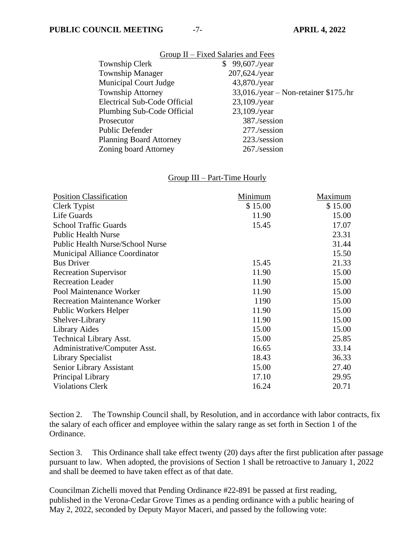| Group II – Fixed Salaries and Fees  |                                          |  |  |
|-------------------------------------|------------------------------------------|--|--|
| Township Clerk                      | \$99,607./year                           |  |  |
| <b>Township Manager</b>             | 207,624./year                            |  |  |
| <b>Municipal Court Judge</b>        | 43,870./year                             |  |  |
| <b>Township Attorney</b>            | $33,016$ ./year – Non-retainer \$175./hr |  |  |
| <b>Electrical Sub-Code Official</b> | $23,109$ ./year                          |  |  |
| Plumbing Sub-Code Official          | $23,109$ ./year                          |  |  |
| Prosecutor                          | 387./session                             |  |  |
| <b>Public Defender</b>              | 277./session                             |  |  |
| <b>Planning Board Attorney</b>      | 223./session                             |  |  |
| Zoning board Attorney               | 267./session                             |  |  |

## Group III – Part-Time Hourly

| <b>Position Classification</b>          | Minimum | Maximum |
|-----------------------------------------|---------|---------|
| Clerk Typist                            | \$15.00 | \$15.00 |
| Life Guards                             | 11.90   | 15.00   |
| <b>School Traffic Guards</b>            | 15.45   | 17.07   |
| <b>Public Health Nurse</b>              |         | 23.31   |
| <b>Public Health Nurse/School Nurse</b> |         | 31.44   |
| Municipal Alliance Coordinator          |         | 15.50   |
| <b>Bus Driver</b>                       | 15.45   | 21.33   |
| <b>Recreation Supervisor</b>            | 11.90   | 15.00   |
| <b>Recreation Leader</b>                | 11.90   | 15.00   |
| Pool Maintenance Worker                 | 11.90   | 15.00   |
| <b>Recreation Maintenance Worker</b>    | 1190    | 15.00   |
| <b>Public Workers Helper</b>            | 11.90   | 15.00   |
| Shelver-Library                         | 11.90   | 15.00   |
| <b>Library Aides</b>                    | 15.00   | 15.00   |
| <b>Technical Library Asst.</b>          | 15.00   | 25.85   |
| Administrative/Computer Asst.           | 16.65   | 33.14   |
| Library Specialist                      | 18.43   | 36.33   |
| Senior Library Assistant                | 15.00   | 27.40   |
| Principal Library                       | 17.10   | 29.95   |
| <b>Violations Clerk</b>                 | 16.24   | 20.71   |

Section 2. The Township Council shall, by Resolution, and in accordance with labor contracts, fix the salary of each officer and employee within the salary range as set forth in Section 1 of the Ordinance.

Section 3. This Ordinance shall take effect twenty (20) days after the first publication after passage pursuant to law. When adopted, the provisions of Section 1 shall be retroactive to January 1, 2022 and shall be deemed to have taken effect as of that date.

Councilman Zichelli moved that Pending Ordinance #22-891 be passed at first reading, published in the Verona-Cedar Grove Times as a pending ordinance with a public hearing of May 2, 2022, seconded by Deputy Mayor Maceri, and passed by the following vote: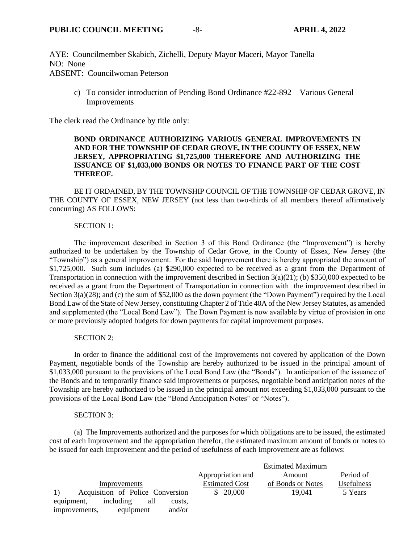AYE: Councilmember Skabich, Zichelli, Deputy Mayor Maceri, Mayor Tanella NO: None ABSENT: Councilwoman Peterson

c) To consider introduction of Pending Bond Ordinance #22-892 – Various General Improvements

The clerk read the Ordinance by title only:

#### **BOND ORDINANCE AUTHORIZING VARIOUS GENERAL IMPROVEMENTS IN AND FOR THE TOWNSHIP OF CEDAR GROVE, IN THE COUNTY OF ESSEX, NEW JERSEY, APPROPRIATING \$1,725,000 THEREFORE AND AUTHORIZING THE ISSUANCE OF \$1,033,000 BONDS OR NOTES TO FINANCE PART OF THE COST THEREOF.**

BE IT ORDAINED, BY THE TOWNSHIP COUNCIL OF THE TOWNSHIP OF CEDAR GROVE, IN THE COUNTY OF ESSEX, NEW JERSEY (not less than two-thirds of all members thereof affirmatively concurring) AS FOLLOWS:

#### SECTION 1:

The improvement described in Section 3 of this Bond Ordinance (the "Improvement") is hereby authorized to be undertaken by the Township of Cedar Grove, in the County of Essex, New Jersey (the "Township") as a general improvement. For the said Improvement there is hereby appropriated the amount of \$1,725,000. Such sum includes (a) \$290,000 expected to be received as a grant from the Department of Transportation in connection with the improvement described in Section  $3(a)(21)$ ; (b) \$350,000 expected to be received as a grant from the Department of Transportation in connection with the improvement described in Section 3(a)(28); and (c) the sum of \$52,000 as the down payment (the "Down Payment") required by the Local Bond Law of the State of New Jersey, constituting Chapter 2 of Title 40A of the New Jersey Statutes, as amended and supplemented (the "Local Bond Law"). The Down Payment is now available by virtue of provision in one or more previously adopted budgets for down payments for capital improvement purposes.

#### SECTION 2:

In order to finance the additional cost of the Improvements not covered by application of the Down Payment, negotiable bonds of the Township are hereby authorized to be issued in the principal amount of \$1,033,000 pursuant to the provisions of the Local Bond Law (the "Bonds"). In anticipation of the issuance of the Bonds and to temporarily finance said improvements or purposes, negotiable bond anticipation notes of the Township are hereby authorized to be issued in the principal amount not exceeding \$1,033,000 pursuant to the provisions of the Local Bond Law (the "Bond Anticipation Notes" or "Notes").

#### SECTION 3:

(a) The Improvements authorized and the purposes for which obligations are to be issued, the estimated cost of each Improvement and the appropriation therefor, the estimated maximum amount of bonds or notes to be issued for each Improvement and the period of usefulness of each Improvement are as follows:

|                                          |                       | <b>Estimated Maximum</b> |                   |
|------------------------------------------|-----------------------|--------------------------|-------------------|
|                                          | Appropriation and     | Amount                   | Period of         |
| Improvements                             | <b>Estimated Cost</b> | of Bonds or Notes        | <b>Usefulness</b> |
| Acquisition of Police Conversion         | \$20,000              | 19.041                   | 5 Years           |
| including<br>equipment,<br>all<br>costs. |                       |                          |                   |
| improvements,<br>and/or<br>equipment     |                       |                          |                   |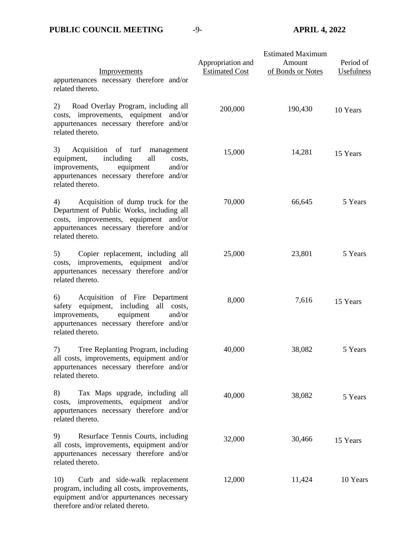| Improvements<br>appurtenances necessary therefore and/or<br>related thereto.                                                                                                                    | Appropriation and<br><b>Estimated Cost</b> | <b>Estimated Maximum</b><br>Amount<br>of Bonds or Notes | Period of<br>Usefulness |
|-------------------------------------------------------------------------------------------------------------------------------------------------------------------------------------------------|--------------------------------------------|---------------------------------------------------------|-------------------------|
| Road Overlay Program, including all<br>2)<br>costs, improvements, equipment<br>and/or<br>appurtenances necessary therefore and/or<br>related thereto.                                           | 200,000                                    | 190,430                                                 | 10 Years                |
| 3)<br>Acquisition of turf<br>management<br>including<br>all<br>equipment,<br>costs.<br>equipment<br>and/or<br>improvements,<br>appurtenances necessary therefore and/or<br>related thereto.     | 15,000                                     | 14,281                                                  | 15 Years                |
| Acquisition of dump truck for the<br>4)<br>Department of Public Works, including all<br>costs, improvements, equipment and/or<br>appurtenances necessary therefore and/or<br>related thereto.   | 70,000                                     | 66,645                                                  | 5 Years                 |
| Copier replacement, including all<br>5)<br>improvements, equipment and/or<br>costs,<br>appurtenances necessary therefore and/or<br>related thereto.                                             | 25,000                                     | 23,801                                                  | 5 Years                 |
| Acquisition of Fire Department<br>6)<br>equipment,<br>including<br>all costs,<br>safety<br>equipment<br>improvements,<br>and/or<br>appurtenances necessary therefore and/or<br>related thereto. | 8,000                                      | 7,616                                                   | 15 Years                |
| Tree Replanting Program, including<br>7)<br>all costs, improvements, equipment and/or<br>appurtenances necessary therefore and/or<br>related thereto.                                           | 40,000                                     | 38,082                                                  | 5 Years                 |
| 8)<br>Tax Maps upgrade, including all<br>improvements, equipment and/or<br>costs,<br>appurtenances necessary therefore and/or<br>related thereto.                                               | 40,000                                     | 38,082                                                  | 5 Years                 |
| 9)<br>Resurface Tennis Courts, including<br>all costs, improvements, equipment and/or<br>appurtenances necessary therefore and/or<br>related thereto.                                           | 32,000                                     | 30,466                                                  | 15 Years                |
| 10)<br>Curb and side-walk replacement<br>program, including all costs, improvements,<br>equipment and/or appurtenances necessary                                                                | 12,000                                     | 11,424                                                  | 10 Years                |

therefore and/or related thereto.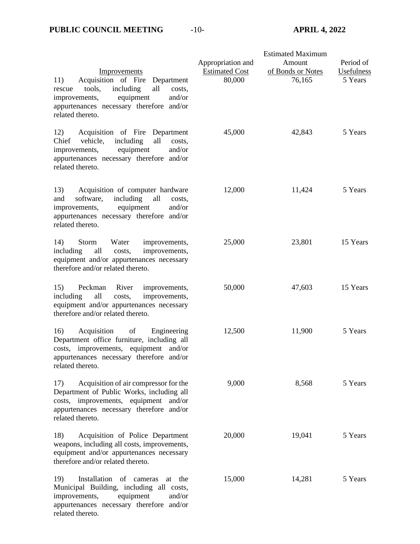related thereto.

|                                                                                                                                                                                                          |                                            | <b>Estimated Maximum</b>    |                         |
|----------------------------------------------------------------------------------------------------------------------------------------------------------------------------------------------------------|--------------------------------------------|-----------------------------|-------------------------|
| Improvements                                                                                                                                                                                             | Appropriation and<br><b>Estimated Cost</b> | Amount<br>of Bonds or Notes | Period of<br>Usefulness |
| Acquisition of Fire<br>11)<br>Department<br>including<br>all<br>tools,<br>costs.<br>rescue<br>equipment<br>and/or<br>improvements,<br>appurtenances necessary therefore and/or<br>related thereto.       | 80,000                                     | 76,165                      | 5 Years                 |
| Acquisition of Fire Department<br>12)<br>vehicle,<br>Chief<br>including<br>all<br>costs,<br>equipment<br>and/or<br>improvements,<br>appurtenances necessary therefore and/or<br>related thereto.         | 45,000                                     | 42,843                      | 5 Years                 |
| 13)<br>Acquisition of computer hardware<br>software,<br>including<br>all<br>and<br>costs.<br>equipment<br>and/or<br>improvements,<br>appurtenances necessary therefore and/or<br>related thereto.        | 12,000                                     | 11,424                      | 5 Years                 |
| 14)<br>Water<br>Storm<br>improvements,<br>all<br>improvements,<br>including<br>costs,<br>equipment and/or appurtenances necessary<br>therefore and/or related thereto.                                   | 25,000                                     | 23,801                      | 15 Years                |
| 15)<br>Peckman<br>River<br>improvements,<br>all<br>including<br>improvements,<br>costs,<br>equipment and/or appurtenances necessary<br>therefore and/or related thereto.                                 | 50,000                                     | 47,603                      | 15 Years                |
| 16)<br>Acquisition<br>of<br>Engineering<br>Department office furniture, including all<br>costs, improvements, equipment and/or<br>appurtenances necessary therefore and/or<br>related thereto.           | 12,500                                     | 11,900                      | 5 Years                 |
| Acquisition of air compressor for the<br>17)<br>Department of Public Works, including all<br>improvements, equipment<br>and/or<br>costs,<br>appurtenances necessary therefore and/or<br>related thereto. | 9,000                                      | 8,568                       | 5 Years                 |
| 18)<br>Acquisition of Police Department<br>weapons, including all costs, improvements,<br>equipment and/or appurtenances necessary<br>therefore and/or related thereto.                                  | 20,000                                     | 19,041                      | 5 Years                 |
| 19)<br>Installation of cameras<br>at the<br>Municipal Building, including all costs,<br>equipment<br>and/or<br>improvements,<br>appurtenances necessary therefore and/or                                 | 15,000                                     | 14,281                      | 5 Years                 |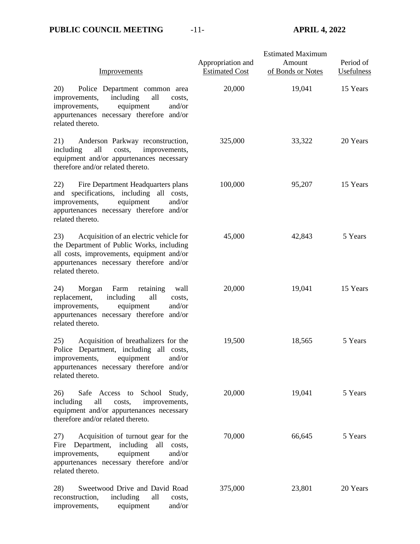| Improvements                                                                                                                                                                                            | Appropriation and<br><b>Estimated Cost</b> | <b>Estimated Maximum</b><br>Amount<br>of Bonds or Notes | Period of<br>Usefulness |
|---------------------------------------------------------------------------------------------------------------------------------------------------------------------------------------------------------|--------------------------------------------|---------------------------------------------------------|-------------------------|
| 20)<br>Police Department common area<br>including<br>all<br>improvements,<br>costs,<br>equipment<br>and/or<br>improvements,<br>appurtenances necessary therefore and/or<br>related thereto.             | 20,000                                     | 19,041                                                  | 15 Years                |
| Anderson Parkway reconstruction,<br>21)<br>all<br>improvements,<br>including<br>costs,<br>equipment and/or appurtenances necessary<br>therefore and/or related thereto.                                 | 325,000                                    | 33,322                                                  | 20 Years                |
| 22)<br>Fire Department Headquarters plans<br>specifications, including all costs,<br>and<br>equipment<br>improvements,<br>and/or<br>appurtenances necessary therefore and/or<br>related thereto.        | 100,000                                    | 95,207                                                  | 15 Years                |
| Acquisition of an electric vehicle for<br>23)<br>the Department of Public Works, including<br>all costs, improvements, equipment and/or<br>appurtenances necessary therefore and/or<br>related thereto. | 45,000                                     | 42,843                                                  | 5 Years                 |
| Farm<br>retaining<br>24)<br>Morgan<br>wall<br>replacement,<br>including<br>all<br>costs,<br>and/or<br>improvements,<br>equipment<br>appurtenances necessary therefore and/or<br>related thereto.        | 20,000                                     | 19,041                                                  | 15 Years                |
| 25)<br>Acquisition of breathalizers for the<br>Department, including all costs,<br>Police<br>improvements, equipment and/or<br>appurtenances necessary therefore and/or<br>related thereto.             | 19,500                                     | 18,565                                                  | 5 Years                 |
| School Study,<br>26)<br>Safe Access to<br>including<br>all<br>improvements,<br>costs,<br>equipment and/or appurtenances necessary<br>therefore and/or related thereto.                                  | 20,000                                     | 19,041                                                  | 5 Years                 |
| Acquisition of turnout gear for the<br>27)<br>Fire<br>Department,<br>including<br>all<br>costs,<br>equipment<br>improvements,<br>and/or<br>appurtenances necessary therefore and/or<br>related thereto. | 70,000                                     | 66,645                                                  | 5 Years                 |
| 28)<br>Sweetwood Drive and David Road<br>all<br>reconstruction,<br>including<br>costs,<br>and/or<br>improvements,<br>equipment                                                                          | 375,000                                    | 23,801                                                  | 20 Years                |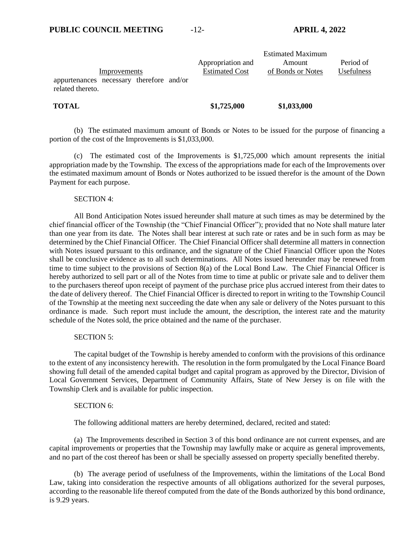| Improvements<br>appurtenances necessary therefore and/or<br>related thereto. | Appropriation and<br><b>Estimated Cost</b> | <b>Estimated Maximum</b><br>Amount<br>of Bonds or Notes | Period of<br>Usefulness |
|------------------------------------------------------------------------------|--------------------------------------------|---------------------------------------------------------|-------------------------|
| <b>TOTAL</b>                                                                 | \$1,725,000                                | \$1,033,000                                             |                         |

(b) The estimated maximum amount of Bonds or Notes to be issued for the purpose of financing a portion of the cost of the Improvements is \$1,033,000.

(c) The estimated cost of the Improvements is \$1,725,000 which amount represents the initial appropriation made by the Township. The excess of the appropriations made for each of the Improvements over the estimated maximum amount of Bonds or Notes authorized to be issued therefor is the amount of the Down Payment for each purpose.

#### SECTION 4:

All Bond Anticipation Notes issued hereunder shall mature at such times as may be determined by the chief financial officer of the Township (the "Chief Financial Officer"); provided that no Note shall mature later than one year from its date. The Notes shall bear interest at such rate or rates and be in such form as may be determined by the Chief Financial Officer. The Chief Financial Officer shall determine all matters in connection with Notes issued pursuant to this ordinance, and the signature of the Chief Financial Officer upon the Notes shall be conclusive evidence as to all such determinations. All Notes issued hereunder may be renewed from time to time subject to the provisions of Section 8(a) of the Local Bond Law. The Chief Financial Officer is hereby authorized to sell part or all of the Notes from time to time at public or private sale and to deliver them to the purchasers thereof upon receipt of payment of the purchase price plus accrued interest from their dates to the date of delivery thereof. The Chief Financial Officer is directed to report in writing to the Township Council of the Township at the meeting next succeeding the date when any sale or delivery of the Notes pursuant to this ordinance is made. Such report must include the amount, the description, the interest rate and the maturity schedule of the Notes sold, the price obtained and the name of the purchaser.

#### SECTION 5:

The capital budget of the Township is hereby amended to conform with the provisions of this ordinance to the extent of any inconsistency herewith. The resolution in the form promulgated by the Local Finance Board showing full detail of the amended capital budget and capital program as approved by the Director, Division of Local Government Services, Department of Community Affairs, State of New Jersey is on file with the Township Clerk and is available for public inspection.

#### SECTION 6:

The following additional matters are hereby determined, declared, recited and stated:

(a) The Improvements described in Section 3 of this bond ordinance are not current expenses, and are capital improvements or properties that the Township may lawfully make or acquire as general improvements, and no part of the cost thereof has been or shall be specially assessed on property specially benefited thereby.

(b) The average period of usefulness of the Improvements, within the limitations of the Local Bond Law, taking into consideration the respective amounts of all obligations authorized for the several purposes, according to the reasonable life thereof computed from the date of the Bonds authorized by this bond ordinance, is 9.29 years.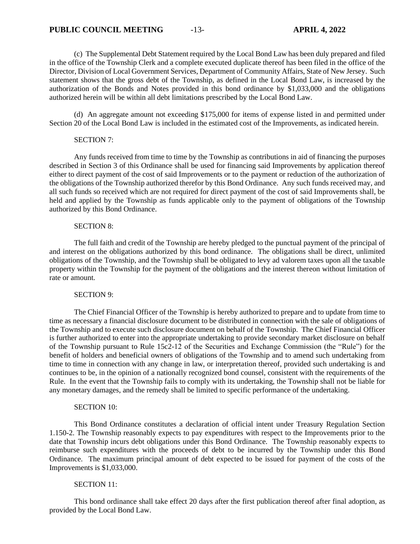(c) The Supplemental Debt Statement required by the Local Bond Law has been duly prepared and filed in the office of the Township Clerk and a complete executed duplicate thereof has been filed in the office of the Director, Division of Local Government Services, Department of Community Affairs, State of New Jersey. Such statement shows that the gross debt of the Township, as defined in the Local Bond Law, is increased by the authorization of the Bonds and Notes provided in this bond ordinance by \$1,033,000 and the obligations authorized herein will be within all debt limitations prescribed by the Local Bond Law.

(d) An aggregate amount not exceeding \$175,000 for items of expense listed in and permitted under Section 20 of the Local Bond Law is included in the estimated cost of the Improvements, as indicated herein.

#### SECTION 7:

Any funds received from time to time by the Township as contributions in aid of financing the purposes described in Section 3 of this Ordinance shall be used for financing said Improvements by application thereof either to direct payment of the cost of said Improvements or to the payment or reduction of the authorization of the obligations of the Township authorized therefor by this Bond Ordinance. Any such funds received may, and all such funds so received which are not required for direct payment of the cost of said Improvements shall, be held and applied by the Township as funds applicable only to the payment of obligations of the Township authorized by this Bond Ordinance.

#### SECTION 8:

The full faith and credit of the Township are hereby pledged to the punctual payment of the principal of and interest on the obligations authorized by this bond ordinance. The obligations shall be direct, unlimited obligations of the Township, and the Township shall be obligated to levy ad valorem taxes upon all the taxable property within the Township for the payment of the obligations and the interest thereon without limitation of rate or amount.

#### SECTION 9:

The Chief Financial Officer of the Township is hereby authorized to prepare and to update from time to time as necessary a financial disclosure document to be distributed in connection with the sale of obligations of the Township and to execute such disclosure document on behalf of the Township. The Chief Financial Officer is further authorized to enter into the appropriate undertaking to provide secondary market disclosure on behalf of the Township pursuant to Rule 15c2-12 of the Securities and Exchange Commission (the "Rule") for the benefit of holders and beneficial owners of obligations of the Township and to amend such undertaking from time to time in connection with any change in law, or interpretation thereof, provided such undertaking is and continues to be, in the opinion of a nationally recognized bond counsel, consistent with the requirements of the Rule. In the event that the Township fails to comply with its undertaking, the Township shall not be liable for any monetary damages, and the remedy shall be limited to specific performance of the undertaking.

#### SECTION 10:

This Bond Ordinance constitutes a declaration of official intent under Treasury Regulation Section 1.150-2. The Township reasonably expects to pay expenditures with respect to the Improvements prior to the date that Township incurs debt obligations under this Bond Ordinance. The Township reasonably expects to reimburse such expenditures with the proceeds of debt to be incurred by the Township under this Bond Ordinance. The maximum principal amount of debt expected to be issued for payment of the costs of the Improvements is \$1,033,000.

#### SECTION 11:

This bond ordinance shall take effect 20 days after the first publication thereof after final adoption, as provided by the Local Bond Law.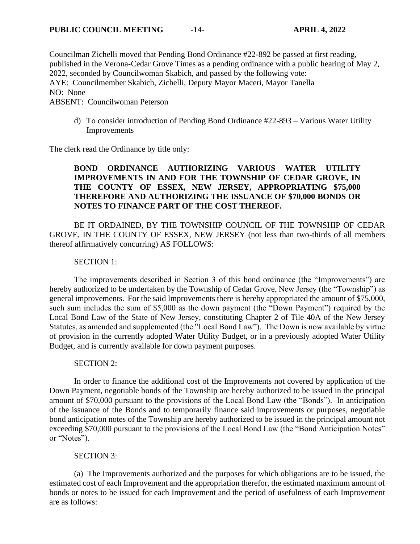Councilman Zichelli moved that Pending Bond Ordinance #22-892 be passed at first reading, published in the Verona-Cedar Grove Times as a pending ordinance with a public hearing of May 2, 2022, seconded by Councilwoman Skabich, and passed by the following vote: AYE: Councilmember Skabich, Zichelli, Deputy Mayor Maceri, Mayor Tanella NO: None ABSENT: Councilwoman Peterson

d) To consider introduction of Pending Bond Ordinance #22-893 – Various Water Utility Improvements

The clerk read the Ordinance by title only:

# **BOND ORDINANCE AUTHORIZING VARIOUS WATER UTILITY IMPROVEMENTS IN AND FOR THE TOWNSHIP OF CEDAR GROVE, IN THE COUNTY OF ESSEX, NEW JERSEY, APPROPRIATING \$75,000 THEREFORE AND AUTHORIZING THE ISSUANCE OF \$70,000 BONDS OR NOTES TO FINANCE PART OF THE COST THEREOF.**

BE IT ORDAINED, BY THE TOWNSHIP COUNCIL OF THE TOWNSHIP OF CEDAR GROVE, IN THE COUNTY OF ESSEX, NEW JERSEY (not less than two-thirds of all members thereof affirmatively concurring) AS FOLLOWS:

## SECTION 1:

The improvements described in Section 3 of this bond ordinance (the "Improvements") are hereby authorized to be undertaken by the Township of Cedar Grove, New Jersey (the "Township") as general improvements. For the said Improvements there is hereby appropriated the amount of \$75,000, such sum includes the sum of \$5,000 as the down payment (the "Down Payment") required by the Local Bond Law of the State of New Jersey, constituting Chapter 2 of Tile 40A of the New Jersey Statutes, as amended and supplemented (the "Local Bond Law"). The Down is now available by virtue of provision in the currently adopted Water Utility Budget, or in a previously adopted Water Utility Budget, and is currently available for down payment purposes.

## SECTION 2:

In order to finance the additional cost of the Improvements not covered by application of the Down Payment, negotiable bonds of the Township are hereby authorized to be issued in the principal amount of \$70,000 pursuant to the provisions of the Local Bond Law (the "Bonds"). In anticipation of the issuance of the Bonds and to temporarily finance said improvements or purposes, negotiable bond anticipation notes of the Township are hereby authorized to be issued in the principal amount not exceeding \$70,000 pursuant to the provisions of the Local Bond Law (the "Bond Anticipation Notes" or "Notes").

## SECTION 3:

(a) The Improvements authorized and the purposes for which obligations are to be issued, the estimated cost of each Improvement and the appropriation therefor, the estimated maximum amount of bonds or notes to be issued for each Improvement and the period of usefulness of each Improvement are as follows: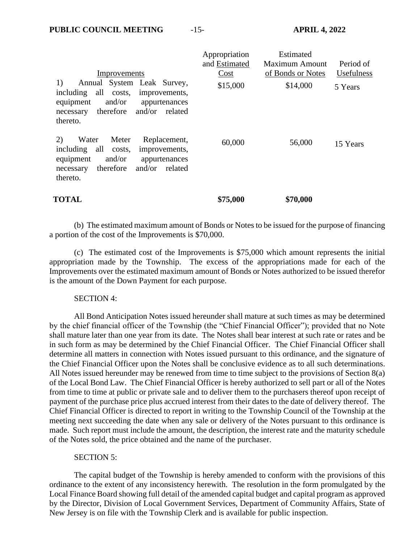|                                                                                                                                                                                        | Appropriation | Estimated             |                   |
|----------------------------------------------------------------------------------------------------------------------------------------------------------------------------------------|---------------|-----------------------|-------------------|
|                                                                                                                                                                                        | and Estimated | <b>Maximum Amount</b> | Period of         |
| Improvements                                                                                                                                                                           | Cost          | of Bonds or Notes     | <b>Usefulness</b> |
| 1)<br>Annual System Leak Survey,<br>all<br>including<br>costs,<br>improvements,<br>and/or<br>equipment<br>appurtenances<br>therefore<br>and/or<br>related<br>necessary<br>thereto.     | \$15,000      | \$14,000              | 5 Years           |
| 2)<br>Replacement,<br>Meter<br>Water<br>including<br>all<br>improvements,<br>costs,<br>and/or<br>equipment<br>appurtenances<br>therefore<br>and/or<br>related<br>necessary<br>thereto. | 60,000        | 56,000                | 15 Years          |
| <b>TOTAL</b>                                                                                                                                                                           | \$75,000      | \$70,000              |                   |

(b) The estimated maximum amount of Bonds or Notes to be issued for the purpose of financing a portion of the cost of the Improvements is \$70,000.

(c) The estimated cost of the Improvements is \$75,000 which amount represents the initial appropriation made by the Township. The excess of the appropriations made for each of the Improvements over the estimated maximum amount of Bonds or Notes authorized to be issued therefor is the amount of the Down Payment for each purpose.

## SECTION 4:

All Bond Anticipation Notes issued hereunder shall mature at such times as may be determined by the chief financial officer of the Township (the "Chief Financial Officer"); provided that no Note shall mature later than one year from its date. The Notes shall bear interest at such rate or rates and be in such form as may be determined by the Chief Financial Officer. The Chief Financial Officer shall determine all matters in connection with Notes issued pursuant to this ordinance, and the signature of the Chief Financial Officer upon the Notes shall be conclusive evidence as to all such determinations. All Notes issued hereunder may be renewed from time to time subject to the provisions of Section 8(a) of the Local Bond Law. The Chief Financial Officer is hereby authorized to sell part or all of the Notes from time to time at public or private sale and to deliver them to the purchasers thereof upon receipt of payment of the purchase price plus accrued interest from their dates to the date of delivery thereof. The Chief Financial Officer is directed to report in writing to the Township Council of the Township at the meeting next succeeding the date when any sale or delivery of the Notes pursuant to this ordinance is made. Such report must include the amount, the description, the interest rate and the maturity schedule of the Notes sold, the price obtained and the name of the purchaser.

#### SECTION 5:

The capital budget of the Township is hereby amended to conform with the provisions of this ordinance to the extent of any inconsistency herewith. The resolution in the form promulgated by the Local Finance Board showing full detail of the amended capital budget and capital program as approved by the Director, Division of Local Government Services, Department of Community Affairs, State of New Jersey is on file with the Township Clerk and is available for public inspection.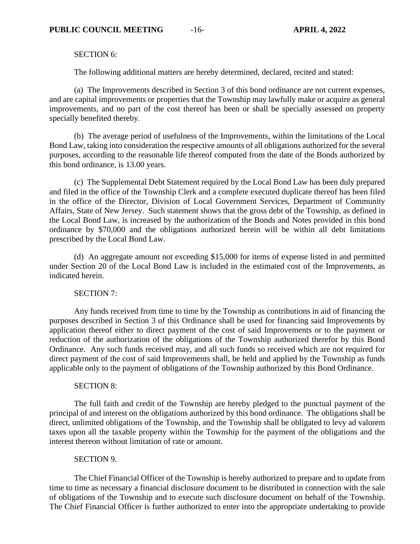SECTION 6:

The following additional matters are hereby determined, declared, recited and stated:

(a) The Improvements described in Section 3 of this bond ordinance are not current expenses, and are capital improvements or properties that the Township may lawfully make or acquire as general improvements, and no part of the cost thereof has been or shall be specially assessed on property specially benefited thereby.

(b) The average period of usefulness of the Improvements, within the limitations of the Local Bond Law, taking into consideration the respective amounts of all obligations authorized for the several purposes, according to the reasonable life thereof computed from the date of the Bonds authorized by this bond ordinance, is 13.00 years.

(c) The Supplemental Debt Statement required by the Local Bond Law has been duly prepared and filed in the office of the Township Clerk and a complete executed duplicate thereof has been filed in the office of the Director, Division of Local Government Services, Department of Community Affairs, State of New Jersey. Such statement shows that the gross debt of the Township, as defined in the Local Bond Law, is increased by the authorization of the Bonds and Notes provided in this bond ordinance by \$70,000 and the obligations authorized herein will be within all debt limitations prescribed by the Local Bond Law.

(d) An aggregate amount not exceeding \$15,000 for items of expense listed in and permitted under Section 20 of the Local Bond Law is included in the estimated cost of the Improvements, as indicated herein.

SECTION 7:

Any funds received from time to time by the Township as contributions in aid of financing the purposes described in Section 3 of this Ordinance shall be used for financing said Improvements by application thereof either to direct payment of the cost of said Improvements or to the payment or reduction of the authorization of the obligations of the Township authorized therefor by this Bond Ordinance. Any such funds received may, and all such funds so received which are not required for direct payment of the cost of said Improvements shall, be held and applied by the Township as funds applicable only to the payment of obligations of the Township authorized by this Bond Ordinance.

## SECTION 8:

The full faith and credit of the Township are hereby pledged to the punctual payment of the principal of and interest on the obligations authorized by this bond ordinance. The obligations shall be direct, unlimited obligations of the Township, and the Township shall be obligated to levy ad valorem taxes upon all the taxable property within the Township for the payment of the obligations and the interest thereon without limitation of rate or amount.

## SECTION 9.

The Chief Financial Officer of the Township is hereby authorized to prepare and to update from time to time as necessary a financial disclosure document to be distributed in connection with the sale of obligations of the Township and to execute such disclosure document on behalf of the Township. The Chief Financial Officer is further authorized to enter into the appropriate undertaking to provide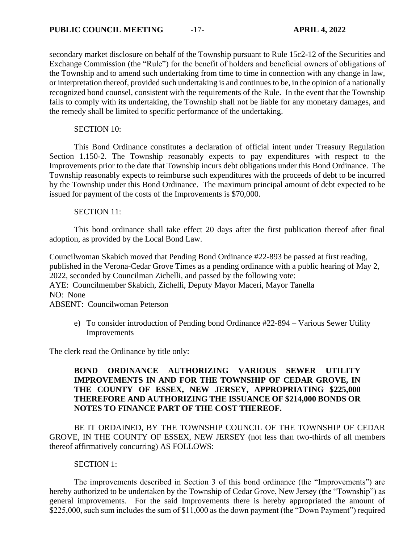secondary market disclosure on behalf of the Township pursuant to Rule 15c2-12 of the Securities and Exchange Commission (the "Rule") for the benefit of holders and beneficial owners of obligations of the Township and to amend such undertaking from time to time in connection with any change in law, or interpretation thereof, provided such undertaking is and continues to be, in the opinion of a nationally recognized bond counsel, consistent with the requirements of the Rule. In the event that the Township fails to comply with its undertaking, the Township shall not be liable for any monetary damages, and the remedy shall be limited to specific performance of the undertaking.

SECTION 10:

This Bond Ordinance constitutes a declaration of official intent under Treasury Regulation Section 1.150-2. The Township reasonably expects to pay expenditures with respect to the Improvements prior to the date that Township incurs debt obligations under this Bond Ordinance. The Township reasonably expects to reimburse such expenditures with the proceeds of debt to be incurred by the Township under this Bond Ordinance. The maximum principal amount of debt expected to be issued for payment of the costs of the Improvements is \$70,000.

## SECTION 11:

This bond ordinance shall take effect 20 days after the first publication thereof after final adoption, as provided by the Local Bond Law.

Councilwoman Skabich moved that Pending Bond Ordinance #22-893 be passed at first reading, published in the Verona-Cedar Grove Times as a pending ordinance with a public hearing of May 2, 2022, seconded by Councilman Zichelli, and passed by the following vote: AYE: Councilmember Skabich, Zichelli, Deputy Mayor Maceri, Mayor Tanella NO: None

ABSENT: Councilwoman Peterson

e) To consider introduction of Pending bond Ordinance #22-894 – Various Sewer Utility Improvements

The clerk read the Ordinance by title only:

# **BOND ORDINANCE AUTHORIZING VARIOUS SEWER UTILITY IMPROVEMENTS IN AND FOR THE TOWNSHIP OF CEDAR GROVE, IN THE COUNTY OF ESSEX, NEW JERSEY, APPROPRIATING \$225,000 THEREFORE AND AUTHORIZING THE ISSUANCE OF \$214,000 BONDS OR NOTES TO FINANCE PART OF THE COST THEREOF.**

BE IT ORDAINED, BY THE TOWNSHIP COUNCIL OF THE TOWNSHIP OF CEDAR GROVE, IN THE COUNTY OF ESSEX, NEW JERSEY (not less than two-thirds of all members thereof affirmatively concurring) AS FOLLOWS:

SECTION 1:

The improvements described in Section 3 of this bond ordinance (the "Improvements") are hereby authorized to be undertaken by the Township of Cedar Grove, New Jersey (the "Township") as general improvements. For the said Improvements there is hereby appropriated the amount of \$225,000, such sum includes the sum of \$11,000 as the down payment (the "Down Payment") required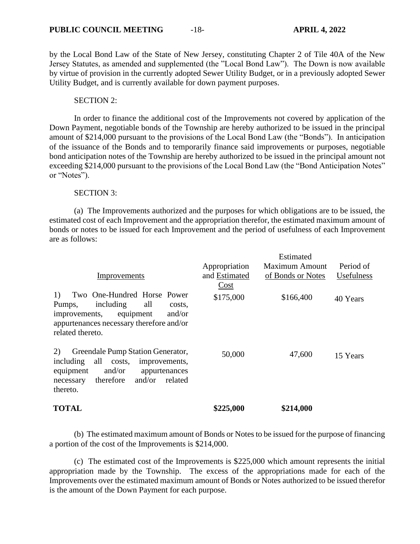by the Local Bond Law of the State of New Jersey, constituting Chapter 2 of Tile 40A of the New Jersey Statutes, as amended and supplemented (the "Local Bond Law"). The Down is now available by virtue of provision in the currently adopted Sewer Utility Budget, or in a previously adopted Sewer Utility Budget, and is currently available for down payment purposes.

### SECTION 2:

In order to finance the additional cost of the Improvements not covered by application of the Down Payment, negotiable bonds of the Township are hereby authorized to be issued in the principal amount of \$214,000 pursuant to the provisions of the Local Bond Law (the "Bonds"). In anticipation of the issuance of the Bonds and to temporarily finance said improvements or purposes, negotiable bond anticipation notes of the Township are hereby authorized to be issued in the principal amount not exceeding \$214,000 pursuant to the provisions of the Local Bond Law (the "Bond Anticipation Notes" or "Notes").

## SECTION 3:

(a) The Improvements authorized and the purposes for which obligations are to be issued, the estimated cost of each Improvement and the appropriation therefor, the estimated maximum amount of bonds or notes to be issued for each Improvement and the period of usefulness of each Improvement are as follows:

|                                                                                                                                                                                           |                   | Estimated             |            |
|-------------------------------------------------------------------------------------------------------------------------------------------------------------------------------------------|-------------------|-----------------------|------------|
|                                                                                                                                                                                           | Appropriation     | <b>Maximum Amount</b> | Period of  |
| Improvements                                                                                                                                                                              | and Estimated     | of Bonds or Notes     | Usefulness |
| 1)<br>Two One-Hundred Horse Power<br>including<br>all<br>Pumps,<br>costs.<br>and/or<br>equipment<br>improvements,<br>appurtenances necessary therefore and/or                             | Cost<br>\$175,000 | \$166,400             | 40 Years   |
| related thereto.                                                                                                                                                                          |                   |                       |            |
| 2)<br>Greendale Pump Station Generator,<br>all<br>including<br>costs,<br>improvements,<br>and/or<br>equipment<br>appurtenances<br>therefore<br>and/or<br>related<br>necessary<br>thereto. | 50,000            | 47,600                | 15 Years   |
| <b>TOTAL</b>                                                                                                                                                                              | \$225,000         | \$214,000             |            |

(b) The estimated maximum amount of Bonds or Notes to be issued for the purpose of financing a portion of the cost of the Improvements is \$214,000.

(c) The estimated cost of the Improvements is \$225,000 which amount represents the initial appropriation made by the Township. The excess of the appropriations made for each of the Improvements over the estimated maximum amount of Bonds or Notes authorized to be issued therefor is the amount of the Down Payment for each purpose.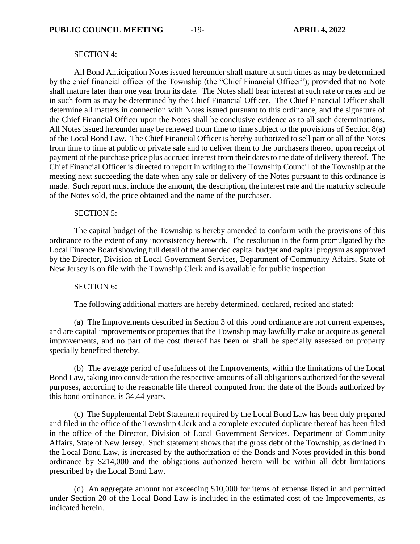#### SECTION 4:

All Bond Anticipation Notes issued hereunder shall mature at such times as may be determined by the chief financial officer of the Township (the "Chief Financial Officer"); provided that no Note shall mature later than one year from its date. The Notes shall bear interest at such rate or rates and be in such form as may be determined by the Chief Financial Officer. The Chief Financial Officer shall determine all matters in connection with Notes issued pursuant to this ordinance, and the signature of the Chief Financial Officer upon the Notes shall be conclusive evidence as to all such determinations. All Notes issued hereunder may be renewed from time to time subject to the provisions of Section 8(a) of the Local Bond Law. The Chief Financial Officer is hereby authorized to sell part or all of the Notes from time to time at public or private sale and to deliver them to the purchasers thereof upon receipt of payment of the purchase price plus accrued interest from their dates to the date of delivery thereof. The Chief Financial Officer is directed to report in writing to the Township Council of the Township at the meeting next succeeding the date when any sale or delivery of the Notes pursuant to this ordinance is made. Such report must include the amount, the description, the interest rate and the maturity schedule of the Notes sold, the price obtained and the name of the purchaser.

#### SECTION 5:

The capital budget of the Township is hereby amended to conform with the provisions of this ordinance to the extent of any inconsistency herewith. The resolution in the form promulgated by the Local Finance Board showing full detail of the amended capital budget and capital program as approved by the Director, Division of Local Government Services, Department of Community Affairs, State of New Jersey is on file with the Township Clerk and is available for public inspection.

#### SECTION 6:

The following additional matters are hereby determined, declared, recited and stated:

(a) The Improvements described in Section 3 of this bond ordinance are not current expenses, and are capital improvements or properties that the Township may lawfully make or acquire as general improvements, and no part of the cost thereof has been or shall be specially assessed on property specially benefited thereby.

(b) The average period of usefulness of the Improvements, within the limitations of the Local Bond Law, taking into consideration the respective amounts of all obligations authorized for the several purposes, according to the reasonable life thereof computed from the date of the Bonds authorized by this bond ordinance, is 34.44 years.

(c) The Supplemental Debt Statement required by the Local Bond Law has been duly prepared and filed in the office of the Township Clerk and a complete executed duplicate thereof has been filed in the office of the Director, Division of Local Government Services, Department of Community Affairs, State of New Jersey. Such statement shows that the gross debt of the Township, as defined in the Local Bond Law, is increased by the authorization of the Bonds and Notes provided in this bond ordinance by \$214,000 and the obligations authorized herein will be within all debt limitations prescribed by the Local Bond Law.

(d) An aggregate amount not exceeding \$10,000 for items of expense listed in and permitted under Section 20 of the Local Bond Law is included in the estimated cost of the Improvements, as indicated herein.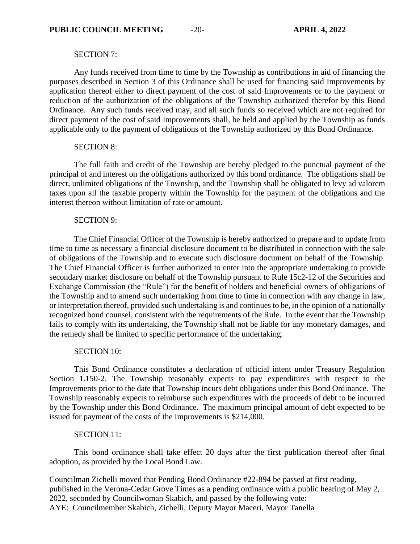### SECTION 7:

Any funds received from time to time by the Township as contributions in aid of financing the purposes described in Section 3 of this Ordinance shall be used for financing said Improvements by application thereof either to direct payment of the cost of said Improvements or to the payment or reduction of the authorization of the obligations of the Township authorized therefor by this Bond Ordinance. Any such funds received may, and all such funds so received which are not required for direct payment of the cost of said Improvements shall, be held and applied by the Township as funds applicable only to the payment of obligations of the Township authorized by this Bond Ordinance.

#### SECTION 8:

The full faith and credit of the Township are hereby pledged to the punctual payment of the principal of and interest on the obligations authorized by this bond ordinance. The obligations shall be direct, unlimited obligations of the Township, and the Township shall be obligated to levy ad valorem taxes upon all the taxable property within the Township for the payment of the obligations and the interest thereon without limitation of rate or amount.

#### SECTION 9:

The Chief Financial Officer of the Township is hereby authorized to prepare and to update from time to time as necessary a financial disclosure document to be distributed in connection with the sale of obligations of the Township and to execute such disclosure document on behalf of the Township. The Chief Financial Officer is further authorized to enter into the appropriate undertaking to provide secondary market disclosure on behalf of the Township pursuant to Rule 15c2-12 of the Securities and Exchange Commission (the "Rule") for the benefit of holders and beneficial owners of obligations of the Township and to amend such undertaking from time to time in connection with any change in law, or interpretation thereof, provided such undertaking is and continues to be, in the opinion of a nationally recognized bond counsel, consistent with the requirements of the Rule. In the event that the Township fails to comply with its undertaking, the Township shall not be liable for any monetary damages, and the remedy shall be limited to specific performance of the undertaking.

#### SECTION 10:

This Bond Ordinance constitutes a declaration of official intent under Treasury Regulation Section 1.150-2. The Township reasonably expects to pay expenditures with respect to the Improvements prior to the date that Township incurs debt obligations under this Bond Ordinance. The Township reasonably expects to reimburse such expenditures with the proceeds of debt to be incurred by the Township under this Bond Ordinance. The maximum principal amount of debt expected to be issued for payment of the costs of the Improvements is \$214,000.

#### SECTION 11:

This bond ordinance shall take effect 20 days after the first publication thereof after final adoption, as provided by the Local Bond Law.

Councilman Zichelli moved that Pending Bond Ordinance #22-894 be passed at first reading, published in the Verona-Cedar Grove Times as a pending ordinance with a public hearing of May 2, 2022, seconded by Councilwoman Skabich, and passed by the following vote: AYE: Councilmember Skabich, Zichelli, Deputy Mayor Maceri, Mayor Tanella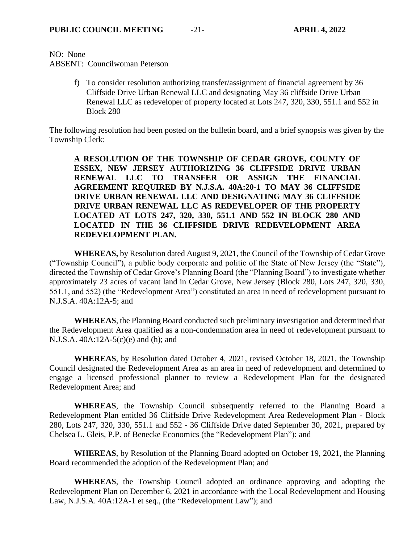NO: None

ABSENT: Councilwoman Peterson

f) To consider resolution authorizing transfer/assignment of financial agreement by 36 Cliffside Drive Urban Renewal LLC and designating May 36 cliffside Drive Urban Renewal LLC as redeveloper of property located at Lots 247, 320, 330, 551.1 and 552 in Block 280

The following resolution had been posted on the bulletin board, and a brief synopsis was given by the Township Clerk:

**A RESOLUTION OF THE TOWNSHIP OF CEDAR GROVE, COUNTY OF ESSEX, NEW JERSEY AUTHORIZING 36 CLIFFSIDE DRIVE URBAN RENEWAL LLC TO TRANSFER OR ASSIGN THE FINANCIAL AGREEMENT REQUIRED BY N.J.S.A. 40A:20-1 TO MAY 36 CLIFFSIDE DRIVE URBAN RENEWAL LLC AND DESIGNATING MAY 36 CLIFFSIDE DRIVE URBAN RENEWAL LLC AS REDEVELOPER OF THE PROPERTY LOCATED AT LOTS 247, 320, 330, 551.1 AND 552 IN BLOCK 280 AND LOCATED IN THE 36 CLIFFSIDE DRIVE REDEVELOPMENT AREA REDEVELOPMENT PLAN.**

**WHEREAS,** by Resolution dated August 9, 2021, the Council of the Township of Cedar Grove ("Township Council"), a public body corporate and politic of the State of New Jersey (the "State"), directed the Township of Cedar Grove's Planning Board (the "Planning Board") to investigate whether approximately 23 acres of vacant land in Cedar Grove, New Jersey (Block 280, Lots 247, 320, 330, 551.1, and 552) (the "Redevelopment Area") constituted an area in need of redevelopment pursuant to N.J.S.A. 40A:12A-5; and

**WHEREAS**, the Planning Board conducted such preliminary investigation and determined that the Redevelopment Area qualified as a non-condemnation area in need of redevelopment pursuant to N.J.S.A. 40A:12A-5(c)(e) and (h); and

**WHEREAS**, by Resolution dated October 4, 2021, revised October 18, 2021, the Township Council designated the Redevelopment Area as an area in need of redevelopment and determined to engage a licensed professional planner to review a Redevelopment Plan for the designated Redevelopment Area; and

**WHEREAS**, the Township Council subsequently referred to the Planning Board a Redevelopment Plan entitled 36 Cliffside Drive Redevelopment Area Redevelopment Plan - Block 280, Lots 247, 320, 330, 551.1 and 552 - 36 Cliffside Drive dated September 30, 2021, prepared by Chelsea L. Gleis, P.P. of Benecke Economics (the "Redevelopment Plan"); and

**WHEREAS**, by Resolution of the Planning Board adopted on October 19, 2021, the Planning Board recommended the adoption of the Redevelopment Plan; and

**WHEREAS**, the Township Council adopted an ordinance approving and adopting the Redevelopment Plan on December 6, 2021 in accordance with the Local Redevelopment and Housing Law, N.J.S.A. 40A:12A-1 et seq*.*, (the "Redevelopment Law"); and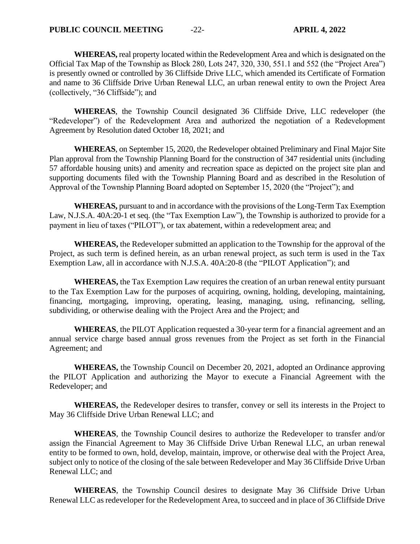**WHEREAS,** real property located within the Redevelopment Area and which is designated on the Official Tax Map of the Township as Block 280, Lots 247, 320, 330, 551.1 and 552 (the "Project Area") is presently owned or controlled by 36 Cliffside Drive LLC, which amended its Certificate of Formation and name to 36 Cliffside Drive Urban Renewal LLC, an urban renewal entity to own the Project Area (collectively, "36 Cliffside"); and

**WHEREAS**, the Township Council designated 36 Cliffside Drive, LLC redeveloper (the "Redeveloper") of the Redevelopment Area and authorized the negotiation of a Redevelopment Agreement by Resolution dated October 18, 2021; and

**WHEREAS**, on September 15, 2020, the Redeveloper obtained Preliminary and Final Major Site Plan approval from the Township Planning Board for the construction of 347 residential units (including 57 affordable housing units) and amenity and recreation space as depicted on the project site plan and supporting documents filed with the Township Planning Board and as described in the Resolution of Approval of the Township Planning Board adopted on September 15, 2020 (the "Project"); and

**WHEREAS,** pursuant to and in accordance with the provisions of the Long-Term Tax Exemption Law, N.J.S.A. 40A:20-1 et seq. (the "Tax Exemption Law"), the Township is authorized to provide for a payment in lieu of taxes ("PILOT"), or tax abatement, within a redevelopment area; and

**WHEREAS,** the Redeveloper submitted an application to the Township for the approval of the Project, as such term is defined herein, as an urban renewal project, as such term is used in the Tax Exemption Law, all in accordance with N.J.S.A. 40A:20-8 (the "PILOT Application"); and

**WHEREAS,** the Tax Exemption Law requires the creation of an urban renewal entity pursuant to the Tax Exemption Law for the purposes of acquiring, owning, holding, developing, maintaining, financing, mortgaging, improving, operating, leasing, managing, using, refinancing, selling, subdividing, or otherwise dealing with the Project Area and the Project; and

**WHEREAS**, the PILOT Application requested a 30-year term for a financial agreement and an annual service charge based annual gross revenues from the Project as set forth in the Financial Agreement; and

**WHEREAS,** the Township Council on December 20, 2021, adopted an Ordinance approving the PILOT Application and authorizing the Mayor to execute a Financial Agreement with the Redeveloper; and

**WHEREAS,** the Redeveloper desires to transfer, convey or sell its interests in the Project to May 36 Cliffside Drive Urban Renewal LLC; and

**WHEREAS**, the Township Council desires to authorize the Redeveloper to transfer and/or assign the Financial Agreement to May 36 Cliffside Drive Urban Renewal LLC, an urban renewal entity to be formed to own, hold, develop, maintain, improve, or otherwise deal with the Project Area, subject only to notice of the closing of the sale between Redeveloper and May 36 Cliffside Drive Urban Renewal LLC; and

**WHEREAS**, the Township Council desires to designate May 36 Cliffside Drive Urban Renewal LLC as redeveloper for the Redevelopment Area, to succeed and in place of 36 Cliffside Drive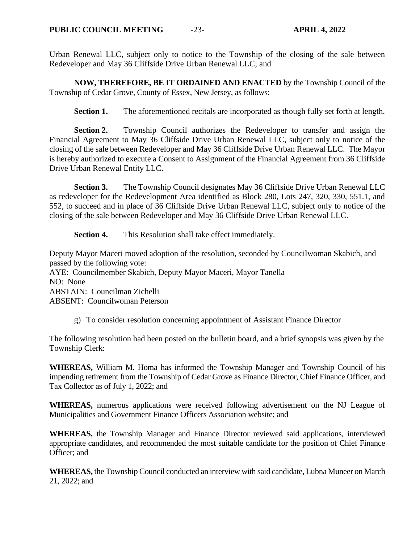Urban Renewal LLC, subject only to notice to the Township of the closing of the sale between Redeveloper and May 36 Cliffside Drive Urban Renewal LLC; and

**NOW, THEREFORE, BE IT ORDAINED AND ENACTED** by the Township Council of the Township of Cedar Grove, County of Essex, New Jersey, as follows:

**Section 1.** The aforementioned recitals are incorporated as though fully set forth at length.

**Section 2.** Township Council authorizes the Redeveloper to transfer and assign the Financial Agreement to May 36 Cliffside Drive Urban Renewal LLC, subject only to notice of the closing of the sale between Redeveloper and May 36 Cliffside Drive Urban Renewal LLC. The Mayor is hereby authorized to execute a Consent to Assignment of the Financial Agreement from 36 Cliffside Drive Urban Renewal Entity LLC.

**Section 3.** The Township Council designates May 36 Cliffside Drive Urban Renewal LLC as redeveloper for the Redevelopment Area identified as Block 280, Lots 247, 320, 330, 551.1, and 552, to succeed and in place of 36 Cliffside Drive Urban Renewal LLC, subject only to notice of the closing of the sale between Redeveloper and May 36 Cliffside Drive Urban Renewal LLC.

**Section 4.** This Resolution shall take effect immediately.

Deputy Mayor Maceri moved adoption of the resolution, seconded by Councilwoman Skabich, and passed by the following vote: AYE: Councilmember Skabich, Deputy Mayor Maceri, Mayor Tanella NO: None ABSTAIN: Councilman Zichelli ABSENT: Councilwoman Peterson

g) To consider resolution concerning appointment of Assistant Finance Director

The following resolution had been posted on the bulletin board, and a brief synopsis was given by the Township Clerk:

**WHEREAS,** William M. Homa has informed the Township Manager and Township Council of his impending retirement from the Township of Cedar Grove as Finance Director, Chief Finance Officer, and Tax Collector as of July 1, 2022; and

**WHEREAS,** numerous applications were received following advertisement on the NJ League of Municipalities and Government Finance Officers Association website; and

**WHEREAS,** the Township Manager and Finance Director reviewed said applications, interviewed appropriate candidates, and recommended the most suitable candidate for the position of Chief Finance Officer; and

**WHEREAS,** the Township Council conducted an interview with said candidate, Lubna Muneer on March 21, 2022; and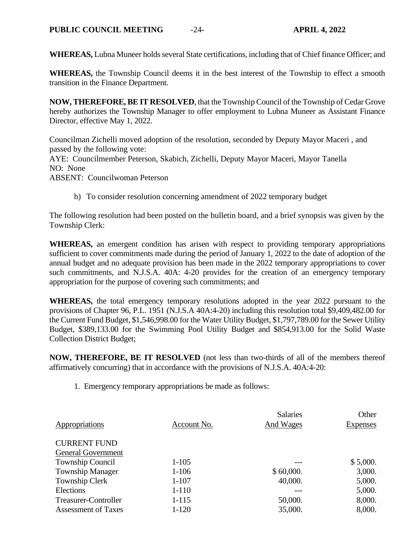**WHEREAS,** Lubna Muneer holds several State certifications, including that of Chief finance Officer; and

**WHEREAS,** the Township Council deems it in the best interest of the Township to effect a smooth transition in the Finance Department.

**NOW, THEREFORE, BE IT RESOLVED**, that the Township Council of the Township of Cedar Grove hereby authorizes the Township Manager to offer employment to Lubna Muneer as Assistant Finance Director, effective May 1, 2022.

Councilman Zichelli moved adoption of the resolution, seconded by Deputy Mayor Maceri , and passed by the following vote: AYE: Councilmember Peterson, Skabich, Zichelli, Deputy Mayor Maceri, Mayor Tanella

NO: None

ABSENT: Councilwoman Peterson

h) To consider resolution concerning amendment of 2022 temporary budget

The following resolution had been posted on the bulletin board, and a brief synopsis was given by the Township Clerk:

**WHEREAS,** an emergent condition has arisen with respect to providing temporary appropriations sufficient to cover commitments made during the period of January 1, 2022 to the date of adoption of the annual budget and no adequate provision has been made in the 2022 temporary appropriations to cover such commitments, and N.J.S.A. 40A: 4-20 provides for the creation of an emergency temporary appropriation for the purpose of covering such commitments; and

**WHEREAS,** the total emergency temporary resolutions adopted in the year 2022 pursuant to the provisions of Chapter 96, P.L. 1951 (N.J.S.A 40A:4-20) including this resolution total \$9,409,482.00 for the Current Fund Budget, \$1,546,998.00 for the Water Utility Budget, \$1,797,789.00 for the Sewer Utility Budget, \$389,133.00 for the Swimming Pool Utility Budget and \$854,913.00 for the Solid Waste Collection District Budget;

**NOW, THEREFORE, BE IT RESOLVED** (not less than two-thirds of all of the members thereof affirmatively concurring) that in accordance with the provisions of N.J.S.A. 40A:4-20:

1. Emergency temporary appropriations be made as follows:

| Appropriations             | Account No. | <b>Salaries</b><br>And Wages | Other<br><b>Expenses</b> |
|----------------------------|-------------|------------------------------|--------------------------|
| <b>CURRENT FUND</b>        |             |                              |                          |
| <b>General Government</b>  |             |                              |                          |
| Township Council           | $1 - 105$   |                              | \$5,000.                 |
| <b>Township Manager</b>    | $1 - 106$   | \$60,000.                    | 3,000.                   |
| Township Clerk             | $1 - 107$   | 40,000.                      | 5,000.                   |
| Elections                  | $1 - 110$   |                              | 5,000.                   |
| Treasurer-Controller       | $1 - 115$   | 50,000.                      | 8,000.                   |
| <b>Assessment of Taxes</b> | $1 - 120$   | 35,000.                      | 8,000.                   |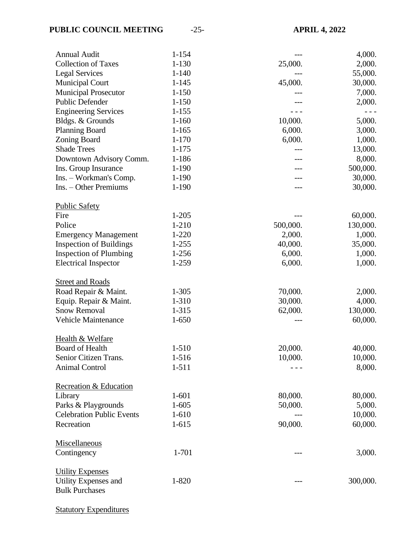| <b>Annual Audit</b>                                           | $1 - 154$ |          | 4,000.   |
|---------------------------------------------------------------|-----------|----------|----------|
| <b>Collection of Taxes</b>                                    | $1 - 130$ | 25,000.  | 2,000.   |
| <b>Legal Services</b>                                         | $1 - 140$ |          | 55,000.  |
| <b>Municipal Court</b>                                        | $1 - 145$ | 45,000.  | 30,000.  |
| <b>Municipal Prosecutor</b>                                   | $1 - 150$ |          | 7,000.   |
| Public Defender                                               | $1 - 150$ |          | 2,000.   |
| <b>Engineering Services</b>                                   | $1 - 155$ |          |          |
| Bldgs. & Grounds                                              | $1 - 160$ | 10,000.  | 5,000.   |
| <b>Planning Board</b>                                         | $1 - 165$ | 6,000.   | 3,000.   |
| <b>Zoning Board</b>                                           | $1 - 170$ | 6,000.   | 1,000.   |
| <b>Shade Trees</b>                                            | $1 - 175$ |          | 13,000.  |
| Downtown Advisory Comm.                                       | 1-186     |          | 8,000.   |
| Ins. Group Insurance                                          | 1-190     |          | 500,000. |
| Ins. - Workman's Comp.                                        | 1-190     |          | 30,000.  |
| Ins. – Other Premiums                                         | $1 - 190$ |          | 30,000.  |
| <b>Public Safety</b>                                          |           |          |          |
| Fire                                                          | $1 - 205$ |          | 60,000.  |
| Police                                                        | 1-210     | 500,000. | 130,000. |
|                                                               | $1-220$   | 2,000.   | 1,000.   |
| <b>Emergency Management</b><br><b>Inspection of Buildings</b> | $1 - 255$ | 40,000.  | 35,000.  |
| <b>Inspection of Plumbing</b>                                 | $1 - 256$ | 6,000.   |          |
|                                                               |           |          | 1,000.   |
| <b>Electrical Inspector</b>                                   | 1-259     | 6,000.   | 1,000.   |
| <b>Street and Roads</b>                                       |           |          |          |
| Road Repair & Maint.                                          | $1 - 305$ | 70,000.  | 2,000.   |
| Equip. Repair & Maint.                                        | 1-310     | 30,000.  | 4,000.   |
| <b>Snow Removal</b>                                           | 1-315     | 62,000.  | 130,000. |
| Vehicle Maintenance                                           | $1 - 650$ | $---$    | 60,000.  |
| Health & Welfare                                              |           |          |          |
| Board of Health                                               | $1 - 510$ | 20,000.  | 40,000.  |
| Senior Citizen Trans.                                         | $1-516$   | 10,000.  | 10,000.  |
| <b>Animal Control</b>                                         | $1 - 511$ |          | 8,000.   |
| Recreation & Education                                        |           |          |          |
| Library                                                       | $1 - 601$ | 80,000.  | 80,000.  |
| Parks & Playgrounds                                           | $1 - 605$ | 50,000.  | 5,000.   |
| <b>Celebration Public Events</b>                              | $1 - 610$ |          | 10,000.  |
| Recreation                                                    | $1 - 615$ | 90,000.  | 60,000.  |
| Miscellaneous                                                 |           |          |          |
| Contingency                                                   | 1-701     | ---      | 3,000.   |
| <b>Utility Expenses</b>                                       |           |          |          |
| <b>Utility Expenses and</b>                                   | $1 - 820$ |          | 300,000. |
| <b>Bulk Purchases</b>                                         |           |          |          |
| <b>Statutory Expenditures</b>                                 |           |          |          |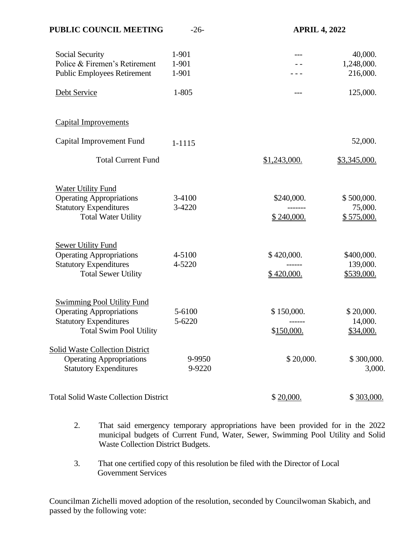| PUBLIC COUNCIL MEETING                                                                                                                  | $-26-$                  | <b>APRIL 4, 2022</b>     |                                      |
|-----------------------------------------------------------------------------------------------------------------------------------------|-------------------------|--------------------------|--------------------------------------|
| Social Security<br>Police & Firemen's Retirement<br><b>Public Employees Retirement</b>                                                  | 1-901<br>1-901<br>1-901 |                          | 40,000.<br>1,248,000.<br>216,000.    |
| Debt Service                                                                                                                            | 1-805                   | ---                      | 125,000.                             |
| <b>Capital Improvements</b>                                                                                                             |                         |                          |                                      |
| Capital Improvement Fund                                                                                                                | 1-1115                  |                          | 52,000.                              |
| <b>Total Current Fund</b>                                                                                                               |                         | \$1,243,000.             | \$3,345,000.                         |
| Water Utility Fund<br><b>Operating Appropriations</b><br><b>Statutory Expenditures</b><br><b>Total Water Utility</b>                    | 3-4100<br>3-4220        | \$240,000.<br>\$240,000. | \$500,000.<br>75,000.<br>\$575,000.  |
| <b>Sewer Utility Fund</b><br><b>Operating Appropriations</b><br><b>Statutory Expenditures</b><br><b>Total Sewer Utility</b>             | 4-5100<br>4-5220        | \$420,000.<br>\$420,000. | \$400,000.<br>139,000.<br>\$539,000. |
| <b>Swimming Pool Utility Fund</b><br><b>Operating Appropriations</b><br><b>Statutory Expenditures</b><br><b>Total Swim Pool Utility</b> | 5-6100<br>5-6220        | \$150,000.<br>\$150,000. | \$20,000.<br>14,000.<br>\$34,000.    |
| <b>Solid Waste Collection District</b><br><b>Operating Appropriations</b><br><b>Statutory Expenditures</b>                              | 9-9950<br>9-9220        | \$20,000.                | \$300,000.<br>3,000.                 |
| <b>Total Solid Waste Collection District</b>                                                                                            |                         | \$20,000.                | \$303,000.                           |

- 2. That said emergency temporary appropriations have been provided for in the 2022 municipal budgets of Current Fund, Water, Sewer, Swimming Pool Utility and Solid Waste Collection District Budgets.
- 3. That one certified copy of this resolution be filed with the Director of Local Government Services

Councilman Zichelli moved adoption of the resolution, seconded by Councilwoman Skabich, and passed by the following vote: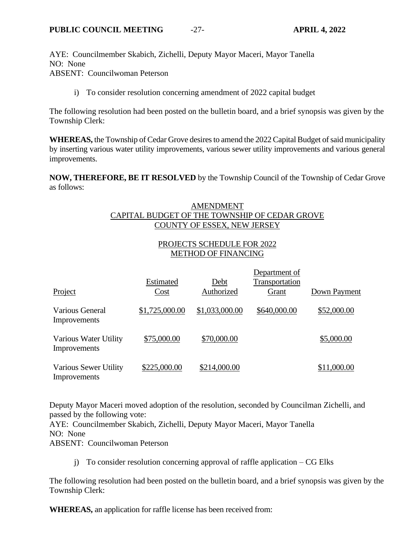AYE: Councilmember Skabich, Zichelli, Deputy Mayor Maceri, Mayor Tanella NO: None ABSENT: Councilwoman Peterson

i) To consider resolution concerning amendment of 2022 capital budget

The following resolution had been posted on the bulletin board, and a brief synopsis was given by the Township Clerk:

**WHEREAS,** the Township of Cedar Grove desires to amend the 2022 Capital Budget of said municipality by inserting various water utility improvements, various sewer utility improvements and various general improvements.

**NOW, THEREFORE, BE IT RESOLVED** by the Township Council of the Township of Cedar Grove as follows:

# AMENDMENT CAPITAL BUDGET OF THE TOWNSHIP OF CEDAR GROVE COUNTY OF ESSEX, NEW JERSEY

# PROJECTS SCHEDULE FOR 2022 METHOD OF FINANCING

| Project                               | Estimated<br>Cost | Debt<br>Authorized | Department of<br>Transportation<br>Grant | Down Payment |
|---------------------------------------|-------------------|--------------------|------------------------------------------|--------------|
| Various General<br>Improvements       | \$1,725,000.00    | \$1,033,000.00     | \$640,000.00                             | \$52,000.00  |
| Various Water Utility<br>Improvements | \$75,000.00       | \$70,000.00        |                                          | \$5,000.00   |
| Various Sewer Utility<br>Improvements | \$225,000.00      | \$214,000.00       |                                          | \$11,000.00  |

Deputy Mayor Maceri moved adoption of the resolution, seconded by Councilman Zichelli, and passed by the following vote:

AYE: Councilmember Skabich, Zichelli, Deputy Mayor Maceri, Mayor Tanella NO: None ABSENT: Councilwoman Peterson

j) To consider resolution concerning approval of raffle application  $-$  CG Elks

The following resolution had been posted on the bulletin board, and a brief synopsis was given by the Township Clerk:

**WHEREAS,** an application for raffle license has been received from: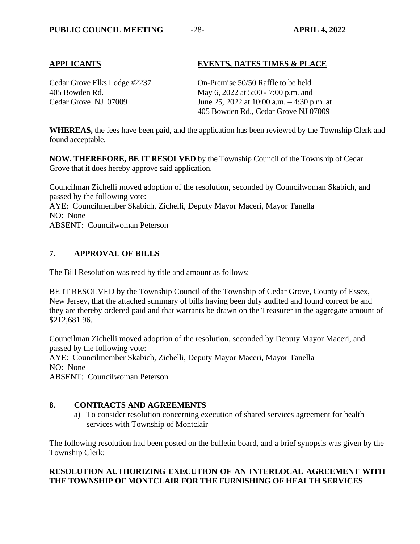## **APPLICANTS EVENTS, DATES TIMES & PLACE**

Cedar Grove Elks Lodge #2237 On-Premise 50/50 Raffle to be held 405 Bowden Rd. May 6, 2022 at 5:00 - 7:00 p.m. and Cedar Grove NJ 07009 June 25, 2022 at 10:00 a.m. – 4:30 p.m. at 405 Bowden Rd., Cedar Grove NJ 07009

**WHEREAS,** the fees have been paid, and the application has been reviewed by the Township Clerk and found acceptable.

**NOW, THEREFORE, BE IT RESOLVED** by the Township Council of the Township of Cedar Grove that it does hereby approve said application.

Councilman Zichelli moved adoption of the resolution, seconded by Councilwoman Skabich, and passed by the following vote: AYE: Councilmember Skabich, Zichelli, Deputy Mayor Maceri, Mayor Tanella NO: None ABSENT: Councilwoman Peterson

## **7. APPROVAL OF BILLS**

The Bill Resolution was read by title and amount as follows:

BE IT RESOLVED by the Township Council of the Township of Cedar Grove, County of Essex, New Jersey, that the attached summary of bills having been duly audited and found correct be and they are thereby ordered paid and that warrants be drawn on the Treasurer in the aggregate amount of \$212,681.96.

Councilman Zichelli moved adoption of the resolution, seconded by Deputy Mayor Maceri, and passed by the following vote: AYE: Councilmember Skabich, Zichelli, Deputy Mayor Maceri, Mayor Tanella NO: None

ABSENT: Councilwoman Peterson

# **8. CONTRACTS AND AGREEMENTS**

a) To consider resolution concerning execution of shared services agreement for health services with Township of Montclair

The following resolution had been posted on the bulletin board, and a brief synopsis was given by the Township Clerk:

## **RESOLUTION AUTHORIZING EXECUTION OF AN INTERLOCAL AGREEMENT WITH THE TOWNSHIP OF MONTCLAIR FOR THE FURNISHING OF HEALTH SERVICES**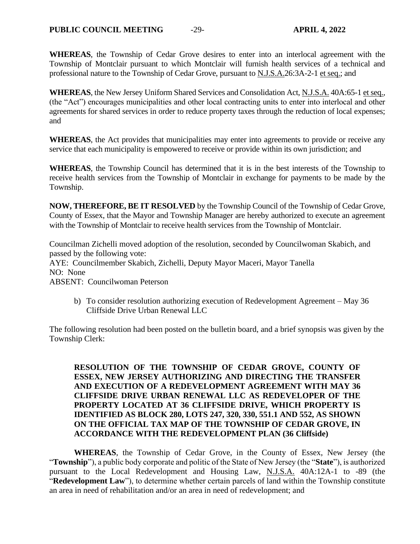**WHEREAS**, the Township of Cedar Grove desires to enter into an interlocal agreement with the Township of Montclair pursuant to which Montclair will furnish health services of a technical and professional nature to the Township of Cedar Grove, pursuant to N.J.S.A.26:3A-2-1 et seq.; and

**WHEREAS**, the New Jersey Uniform Shared Services and Consolidation Act, N.J.S.A. 40A:65-1 et seq., (the "Act") encourages municipalities and other local contracting units to enter into interlocal and other agreements for shared services in order to reduce property taxes through the reduction of local expenses; and

**WHEREAS**, the Act provides that municipalities may enter into agreements to provide or receive any service that each municipality is empowered to receive or provide within its own jurisdiction; and

**WHEREAS**, the Township Council has determined that it is in the best interests of the Township to receive health services from the Township of Montclair in exchange for payments to be made by the Township.

**NOW, THEREFORE, BE IT RESOLVED** by the Township Council of the Township of Cedar Grove, County of Essex, that the Mayor and Township Manager are hereby authorized to execute an agreement with the Township of Montclair to receive health services from the Township of Montclair.

Councilman Zichelli moved adoption of the resolution, seconded by Councilwoman Skabich, and passed by the following vote:

AYE: Councilmember Skabich, Zichelli, Deputy Mayor Maceri, Mayor Tanella NO: None

ABSENT: Councilwoman Peterson

b) To consider resolution authorizing execution of Redevelopment Agreement – May 36 Cliffside Drive Urban Renewal LLC

The following resolution had been posted on the bulletin board, and a brief synopsis was given by the Township Clerk:

**RESOLUTION OF THE TOWNSHIP OF CEDAR GROVE, COUNTY OF ESSEX, NEW JERSEY AUTHORIZING AND DIRECTING THE TRANSFER AND EXECUTION OF A REDEVELOPMENT AGREEMENT WITH MAY 36 CLIFFSIDE DRIVE URBAN RENEWAL LLC AS REDEVELOPER OF THE PROPERTY LOCATED AT 36 CLIFFSIDE DRIVE, WHICH PROPERTY IS IDENTIFIED AS BLOCK 280, LOTS 247, 320, 330, 551.1 AND 552, AS SHOWN ON THE OFFICIAL TAX MAP OF THE TOWNSHIP OF CEDAR GROVE, IN ACCORDANCE WITH THE REDEVELOPMENT PLAN (36 Cliffside)**

**WHEREAS**, the Township of Cedar Grove, in the County of Essex, New Jersey (the "**Township**"), a public body corporate and politic of the State of New Jersey (the "**State**"), is authorized pursuant to the Local Redevelopment and Housing Law, N.J.S.A. 40A:12A-1 to -89 (the "**Redevelopment Law**"), to determine whether certain parcels of land within the Township constitute an area in need of rehabilitation and/or an area in need of redevelopment; and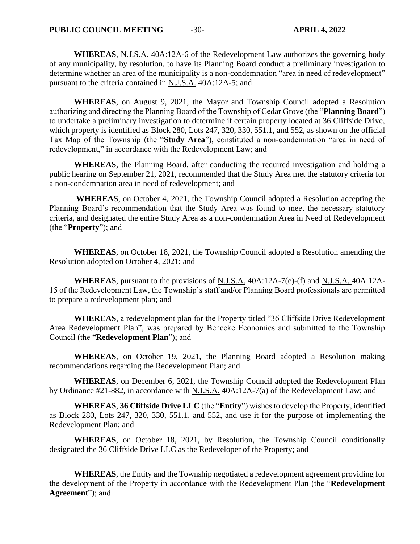**WHEREAS**, N.J.S.A. 40A:12A-6 of the Redevelopment Law authorizes the governing body of any municipality, by resolution, to have its Planning Board conduct a preliminary investigation to determine whether an area of the municipality is a non-condemnation "area in need of redevelopment" pursuant to the criteria contained in N.J.S.A. 40A:12A-5; and

**WHEREAS**, on August 9, 2021, the Mayor and Township Council adopted a Resolution authorizing and directing the Planning Board of the Township of Cedar Grove (the "**Planning Board**") to undertake a preliminary investigation to determine if certain property located at 36 Cliffside Drive, which property is identified as Block 280, Lots 247, 320, 330, 551.1, and 552, as shown on the official Tax Map of the Township (the "**Study Area**"), constituted a non-condemnation "area in need of redevelopment," in accordance with the Redevelopment Law; and

**WHEREAS**, the Planning Board, after conducting the required investigation and holding a public hearing on September 21, 2021, recommended that the Study Area met the statutory criteria for a non-condemnation area in need of redevelopment; and

**WHEREAS**, on October 4, 2021, the Township Council adopted a Resolution accepting the Planning Board's recommendation that the Study Area was found to meet the necessary statutory criteria, and designated the entire Study Area as a non-condemnation Area in Need of Redevelopment (the "**Property**"); and

**WHEREAS**, on October 18, 2021, the Township Council adopted a Resolution amending the Resolution adopted on October 4, 2021; and

**WHEREAS**, pursuant to the provisions of N.J.S.A. 40A:12A-7(e)-(f) and N.J.S.A. 40A:12A-15 of the Redevelopment Law, the Township's staff and/or Planning Board professionals are permitted to prepare a redevelopment plan; and

**WHEREAS**, a redevelopment plan for the Property titled "36 Cliffside Drive Redevelopment Area Redevelopment Plan", was prepared by Benecke Economics and submitted to the Township Council (the "**Redevelopment Plan**"); and

**WHEREAS**, on October 19, 2021, the Planning Board adopted a Resolution making recommendations regarding the Redevelopment Plan; and

**WHEREAS**, on December 6, 2021, the Township Council adopted the Redevelopment Plan by Ordinance #21-882, in accordance with N.J.S.A. 40A:12A-7(a) of the Redevelopment Law; and

**WHEREAS**, **36 Cliffside Drive LLC** (the "**Entity**") wishes to develop the Property, identified as Block 280, Lots 247, 320, 330, 551.1, and 552, and use it for the purpose of implementing the Redevelopment Plan; and

**WHEREAS**, on October 18, 2021, by Resolution, the Township Council conditionally designated the 36 Cliffside Drive LLC as the Redeveloper of the Property; and

**WHEREAS**, the Entity and the Township negotiated a redevelopment agreement providing for the development of the Property in accordance with the Redevelopment Plan (the "**Redevelopment Agreement**"); and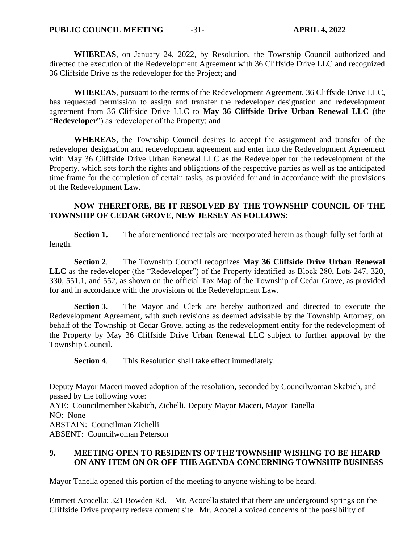**WHEREAS**, on January 24, 2022, by Resolution, the Township Council authorized and directed the execution of the Redevelopment Agreement with 36 Cliffside Drive LLC and recognized 36 Cliffside Drive as the redeveloper for the Project; and

**WHEREAS**, pursuant to the terms of the Redevelopment Agreement, 36 Cliffside Drive LLC, has requested permission to assign and transfer the redeveloper designation and redevelopment agreement from 36 Cliffside Drive LLC to **May 36 Cliffside Drive Urban Renewal LLC** (the "**Redeveloper**") as redeveloper of the Property; and

**WHEREAS**, the Township Council desires to accept the assignment and transfer of the redeveloper designation and redevelopment agreement and enter into the Redevelopment Agreement with May 36 Cliffside Drive Urban Renewal LLC as the Redeveloper for the redevelopment of the Property, which sets forth the rights and obligations of the respective parties as well as the anticipated time frame for the completion of certain tasks, as provided for and in accordance with the provisions of the Redevelopment Law.

# **NOW THEREFORE, BE IT RESOLVED BY THE TOWNSHIP COUNCIL OF THE TOWNSHIP OF CEDAR GROVE, NEW JERSEY AS FOLLOWS**:

**Section 1.** The aforementioned recitals are incorporated herein as though fully set forth at length.

**Section 2**. The Township Council recognizes **May 36 Cliffside Drive Urban Renewal LLC** as the redeveloper (the "Redeveloper") of the Property identified as Block 280, Lots 247, 320, 330, 551.1, and 552, as shown on the official Tax Map of the Township of Cedar Grove, as provided for and in accordance with the provisions of the Redevelopment Law.

**Section 3**. The Mayor and Clerk are hereby authorized and directed to execute the Redevelopment Agreement, with such revisions as deemed advisable by the Township Attorney, on behalf of the Township of Cedar Grove, acting as the redevelopment entity for the redevelopment of the Property by May 36 Cliffside Drive Urban Renewal LLC subject to further approval by the Township Council.

**Section 4**. This Resolution shall take effect immediately.

Deputy Mayor Maceri moved adoption of the resolution, seconded by Councilwoman Skabich, and passed by the following vote: AYE: Councilmember Skabich, Zichelli, Deputy Mayor Maceri, Mayor Tanella NO: None ABSTAIN: Councilman Zichelli ABSENT: Councilwoman Peterson

# **9. MEETING OPEN TO RESIDENTS OF THE TOWNSHIP WISHING TO BE HEARD ON ANY ITEM ON OR OFF THE AGENDA CONCERNING TOWNSHIP BUSINESS**

Mayor Tanella opened this portion of the meeting to anyone wishing to be heard.

Emmett Acocella; 321 Bowden Rd. – Mr. Acocella stated that there are underground springs on the Cliffside Drive property redevelopment site. Mr. Acocella voiced concerns of the possibility of